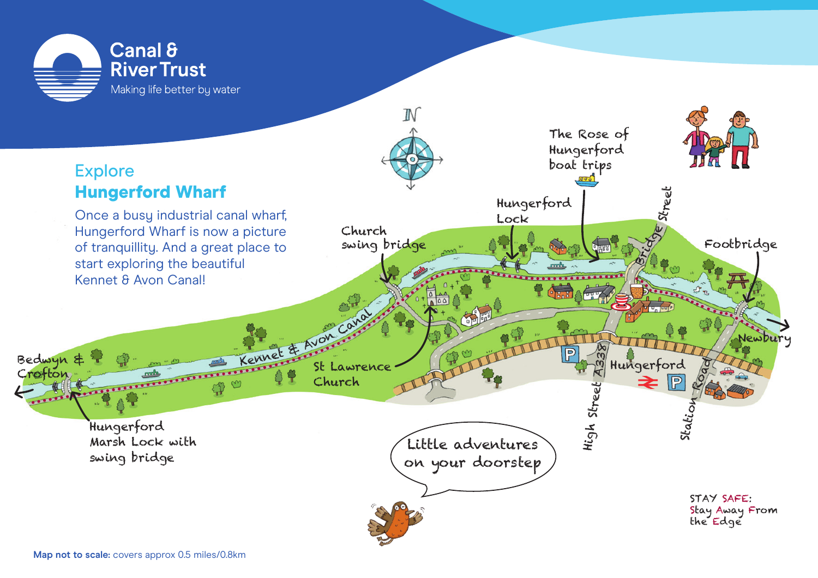